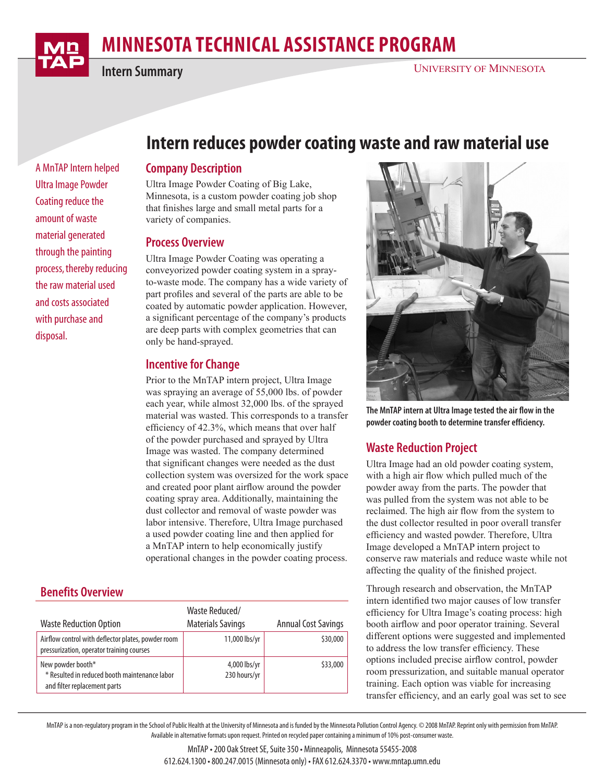# **MINNESOTA TECHNICAL ASSISTANCE PROGRAM**

**Intern Summary**

A MnTAP Intern helped Ultra Image Powder Coating reduce the amount of waste material generated through the painting process, thereby reducing the raw material used and costs associated with purchase and

disposal.

**Intern reduces powder coating waste and raw material use**

### **Company Description**

Ultra Image Powder Coating of Big Lake, Minnesota, is a custom powder coating job shop that finishes large and small metal parts for a variety of companies.

#### **Process Overview**

Ultra Image Powder Coating was operating a conveyorized powder coating system in a sprayto-waste mode. The company has a wide variety of part profiles and several of the parts are able to be coated by automatic powder application. However, a significant percentage of the company's products are deep parts with complex geometries that can only be hand-sprayed.

## **Incentive for Change**

Prior to the MnTAP intern project, Ultra Image was spraying an average of 55,000 lbs. of powder each year, while almost 32,000 lbs. of the sprayed material was wasted. This corresponds to a transfer efficiency of 42.3%, which means that over half of the powder purchased and sprayed by Ultra Image was wasted. The company determined that significant changes were needed as the dust collection system was oversized for the work space and created poor plant airflow around the powder coating spray area. Additionally, maintaining the dust collector and removal of waste powder was labor intensive. Therefore, Ultra Image purchased a used powder coating line and then applied for a MnTAP intern to help economically justify operational changes in the powder coating process.

# **Benefits Overview**

| <b>Waste Reduction Option</b>                                                                      | Waste Reduced/<br><b>Materials Savings</b> | <b>Annual Cost Savings</b> |
|----------------------------------------------------------------------------------------------------|--------------------------------------------|----------------------------|
| Airflow control with deflector plates, powder room<br>pressurization, operator training courses    | 11,000 lbs/yr                              | \$30,000                   |
| New powder booth*<br>* Resulted in reduced booth maintenance labor<br>and filter replacement parts | 4,000 lbs/yr<br>230 hours/yr               | \$33,000                   |



**The MnTAP intern at Ultra Image tested the air flow in the powder coating booth to determine transfer efficiency.**

# **Waste Reduction Project**

Ultra Image had an old powder coating system, with a high air flow which pulled much of the powder away from the parts. The powder that was pulled from the system was not able to be reclaimed. The high air flow from the system to the dust collector resulted in poor overall transfer efficiency and wasted powder. Therefore, Ultra Image developed a MnTAP intern project to conserve raw materials and reduce waste while not affecting the quality of the finished project.

Through research and observation, the MnTAP intern identified two major causes of low transfer efficiency for Ultra Image's coating process: high booth airflow and poor operator training. Several different options were suggested and implemented to address the low transfer efficiency. These options included precise airflow control, powder room pressurization, and suitable manual operator training. Each option was viable for increasing transfer efficiency, and an early goal was set to see

MnTAP is a non-regulatory program in the School of Public Health at the University of Minnesota and is funded by the Minnesota Pollution Control Agency. © 2008 MnTAP. Reprint only with permission from MnTAP. Available in alternative formats upon request. Printed on recycled paper containing a minimum of 10% post-consumer waste.